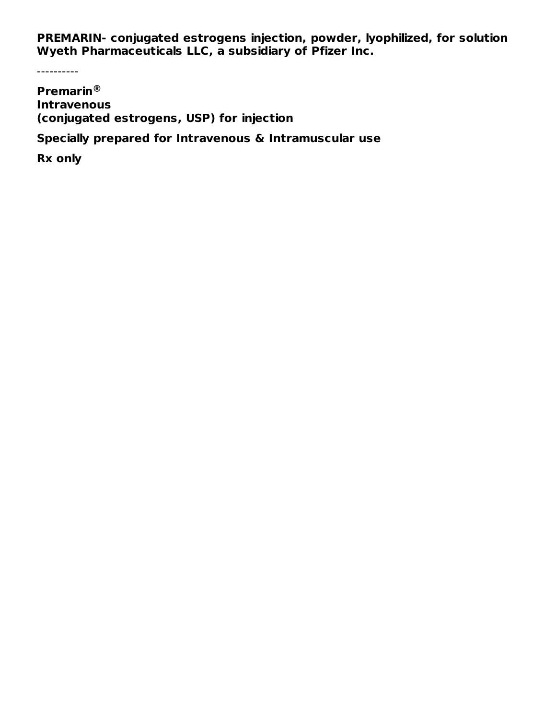**PREMARIN- conjugated estrogens injection, powder, lyophilized, for solution Wyeth Pharmaceuticals LLC, a subsidiary of Pfizer Inc.**

----------

**Premarin ®Intravenous (conjugated estrogens, USP) for injection**

**Specially prepared for Intravenous & Intramuscular use**

**Rx only**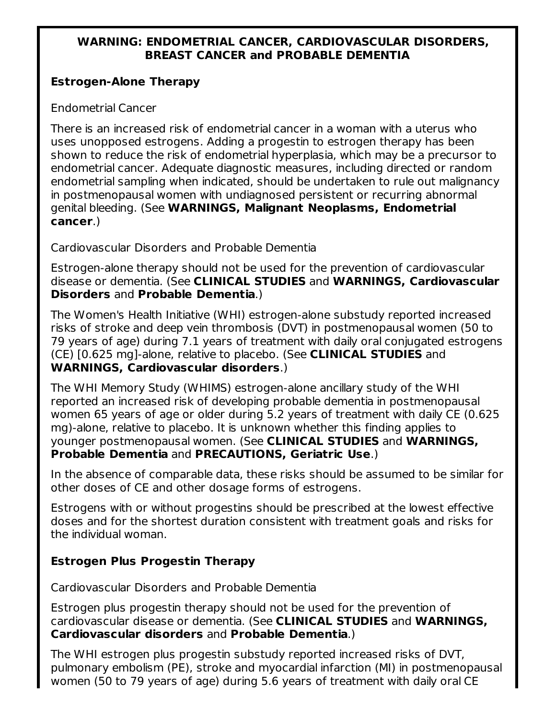#### **WARNING: ENDOMETRIAL CANCER, CARDIOVASCULAR DISORDERS, BREAST CANCER and PROBABLE DEMENTIA**

### **Estrogen-Alone Therapy**

Endometrial Cancer

There is an increased risk of endometrial cancer in a woman with a uterus who uses unopposed estrogens. Adding a progestin to estrogen therapy has been shown to reduce the risk of endometrial hyperplasia, which may be a precursor to endometrial cancer. Adequate diagnostic measures, including directed or random endometrial sampling when indicated, should be undertaken to rule out malignancy in postmenopausal women with undiagnosed persistent or recurring abnormal genital bleeding. (See **WARNINGS, Malignant Neoplasms, Endometrial cancer**.)

Cardiovascular Disorders and Probable Dementia

Estrogen-alone therapy should not be used for the prevention of cardiovascular disease or dementia. (See **CLINICAL STUDIES** and **WARNINGS, Cardiovascular Disorders** and **Probable Dementia**.)

The Women's Health Initiative (WHI) estrogen-alone substudy reported increased risks of stroke and deep vein thrombosis (DVT) in postmenopausal women (50 to 79 years of age) during 7.1 years of treatment with daily oral conjugated estrogens (CE) [0.625 mg]-alone, relative to placebo. (See **CLINICAL STUDIES** and **WARNINGS, Cardiovascular disorders**.)

The WHI Memory Study (WHIMS) estrogen-alone ancillary study of the WHI reported an increased risk of developing probable dementia in postmenopausal women 65 years of age or older during 5.2 years of treatment with daily CE (0.625 mg)-alone, relative to placebo. It is unknown whether this finding applies to younger postmenopausal women. (See **CLINICAL STUDIES** and **WARNINGS, Probable Dementia** and **PRECAUTIONS, Geriatric Use**.)

In the absence of comparable data, these risks should be assumed to be similar for other doses of CE and other dosage forms of estrogens.

Estrogens with or without progestins should be prescribed at the lowest effective doses and for the shortest duration consistent with treatment goals and risks for the individual woman.

## **Estrogen Plus Progestin Therapy**

Cardiovascular Disorders and Probable Dementia

Estrogen plus progestin therapy should not be used for the prevention of cardiovascular disease or dementia. (See **CLINICAL STUDIES** and **WARNINGS, Cardiovascular disorders** and **Probable Dementia**.)

The WHI estrogen plus progestin substudy reported increased risks of DVT, pulmonary embolism (PE), stroke and myocardial infarction (MI) in postmenopausal women (50 to 79 years of age) during 5.6 years of treatment with daily oral CE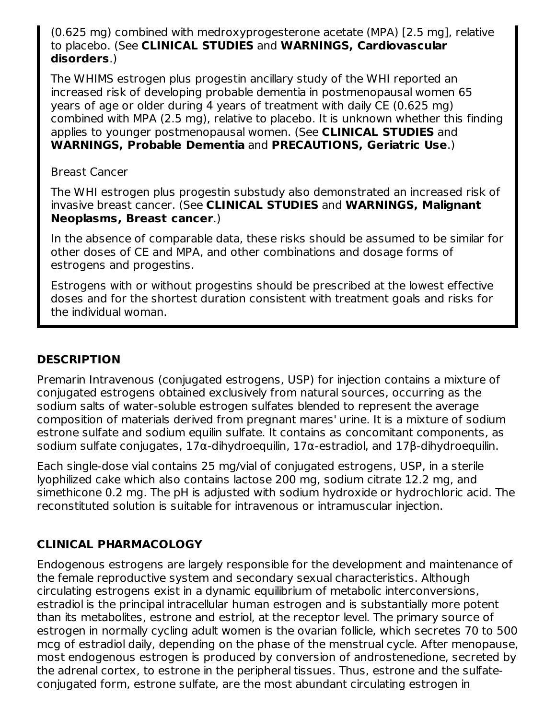(0.625 mg) combined with medroxyprogesterone acetate (MPA) [2.5 mg], relative to placebo. (See **CLINICAL STUDIES** and **WARNINGS, Cardiovascular disorders**.)

The WHIMS estrogen plus progestin ancillary study of the WHI reported an increased risk of developing probable dementia in postmenopausal women 65 years of age or older during 4 years of treatment with daily CE (0.625 mg) combined with MPA (2.5 mg), relative to placebo. It is unknown whether this finding applies to younger postmenopausal women. (See **CLINICAL STUDIES** and **WARNINGS, Probable Dementia** and **PRECAUTIONS, Geriatric Use**.)

Breast Cancer

The WHI estrogen plus progestin substudy also demonstrated an increased risk of invasive breast cancer. (See **CLINICAL STUDIES** and **WARNINGS, Malignant Neoplasms, Breast cancer**.)

In the absence of comparable data, these risks should be assumed to be similar for other doses of CE and MPA, and other combinations and dosage forms of estrogens and progestins.

Estrogens with or without progestins should be prescribed at the lowest effective doses and for the shortest duration consistent with treatment goals and risks for the individual woman.

## **DESCRIPTION**

Premarin Intravenous (conjugated estrogens, USP) for injection contains a mixture of conjugated estrogens obtained exclusively from natural sources, occurring as the sodium salts of water-soluble estrogen sulfates blended to represent the average composition of materials derived from pregnant mares' urine. It is a mixture of sodium estrone sulfate and sodium equilin sulfate. It contains as concomitant components, as sodium sulfate conjugates, 17α-dihydroequilin, 17α-estradiol, and 17β-dihydroequilin.

Each single-dose vial contains 25 mg/vial of conjugated estrogens, USP, in a sterile lyophilized cake which also contains lactose 200 mg, sodium citrate 12.2 mg, and simethicone 0.2 mg. The pH is adjusted with sodium hydroxide or hydrochloric acid. The reconstituted solution is suitable for intravenous or intramuscular injection.

# **CLINICAL PHARMACOLOGY**

Endogenous estrogens are largely responsible for the development and maintenance of the female reproductive system and secondary sexual characteristics. Although circulating estrogens exist in a dynamic equilibrium of metabolic interconversions, estradiol is the principal intracellular human estrogen and is substantially more potent than its metabolites, estrone and estriol, at the receptor level. The primary source of estrogen in normally cycling adult women is the ovarian follicle, which secretes 70 to 500 mcg of estradiol daily, depending on the phase of the menstrual cycle. After menopause, most endogenous estrogen is produced by conversion of androstenedione, secreted by the adrenal cortex, to estrone in the peripheral tissues. Thus, estrone and the sulfateconjugated form, estrone sulfate, are the most abundant circulating estrogen in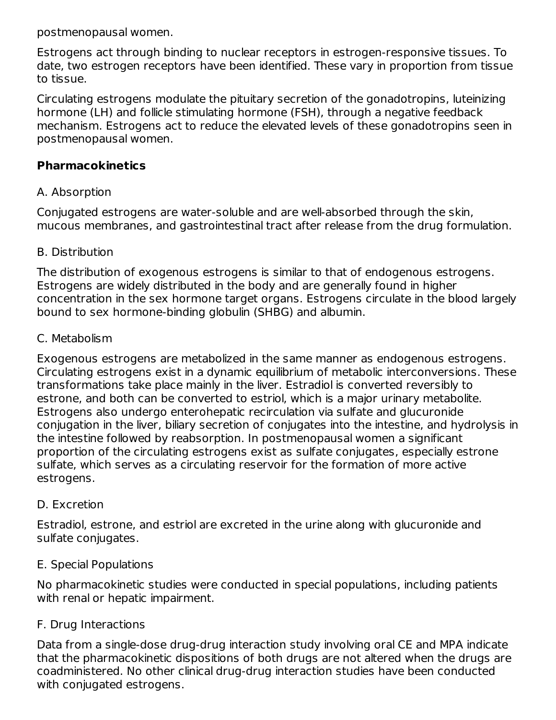postmenopausal women.

Estrogens act through binding to nuclear receptors in estrogen-responsive tissues. To date, two estrogen receptors have been identified. These vary in proportion from tissue to tissue.

Circulating estrogens modulate the pituitary secretion of the gonadotropins, luteinizing hormone (LH) and follicle stimulating hormone (FSH), through a negative feedback mechanism. Estrogens act to reduce the elevated levels of these gonadotropins seen in postmenopausal women.

#### **Pharmacokinetics**

#### A. Absorption

Conjugated estrogens are water-soluble and are well-absorbed through the skin, mucous membranes, and gastrointestinal tract after release from the drug formulation.

#### B. Distribution

The distribution of exogenous estrogens is similar to that of endogenous estrogens. Estrogens are widely distributed in the body and are generally found in higher concentration in the sex hormone target organs. Estrogens circulate in the blood largely bound to sex hormone-binding globulin (SHBG) and albumin.

#### C. Metabolism

Exogenous estrogens are metabolized in the same manner as endogenous estrogens. Circulating estrogens exist in a dynamic equilibrium of metabolic interconversions. These transformations take place mainly in the liver. Estradiol is converted reversibly to estrone, and both can be converted to estriol, which is a major urinary metabolite. Estrogens also undergo enterohepatic recirculation via sulfate and glucuronide conjugation in the liver, biliary secretion of conjugates into the intestine, and hydrolysis in the intestine followed by reabsorption. In postmenopausal women a significant proportion of the circulating estrogens exist as sulfate conjugates, especially estrone sulfate, which serves as a circulating reservoir for the formation of more active estrogens.

#### D. Excretion

Estradiol, estrone, and estriol are excreted in the urine along with glucuronide and sulfate conjugates.

#### E. Special Populations

No pharmacokinetic studies were conducted in special populations, including patients with renal or hepatic impairment.

#### F. Drug Interactions

Data from a single-dose drug-drug interaction study involving oral CE and MPA indicate that the pharmacokinetic dispositions of both drugs are not altered when the drugs are coadministered. No other clinical drug-drug interaction studies have been conducted with conjugated estrogens.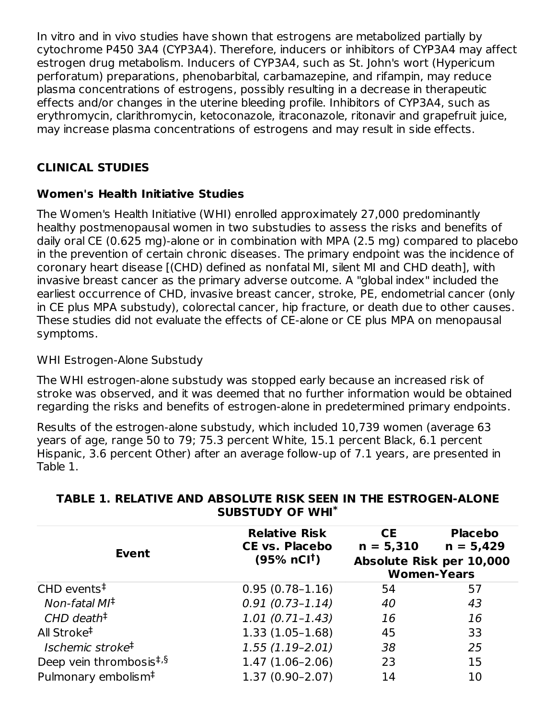In vitro and in vivo studies have shown that estrogens are metabolized partially by cytochrome P450 3A4 (CYP3A4). Therefore, inducers or inhibitors of CYP3A4 may affect estrogen drug metabolism. Inducers of CYP3A4, such as St. John's wort (Hypericum perforatum) preparations, phenobarbital, carbamazepine, and rifampin, may reduce plasma concentrations of estrogens, possibly resulting in a decrease in therapeutic effects and/or changes in the uterine bleeding profile. Inhibitors of CYP3A4, such as erythromycin, clarithromycin, ketoconazole, itraconazole, ritonavir and grapefruit juice, may increase plasma concentrations of estrogens and may result in side effects.

## **CLINICAL STUDIES**

## **Women's Health Initiative Studies**

The Women's Health Initiative (WHI) enrolled approximately 27,000 predominantly healthy postmenopausal women in two substudies to assess the risks and benefits of daily oral CE (0.625 mg)-alone or in combination with MPA (2.5 mg) compared to placebo in the prevention of certain chronic diseases. The primary endpoint was the incidence of coronary heart disease [(CHD) defined as nonfatal MI, silent MI and CHD death], with invasive breast cancer as the primary adverse outcome. A "global index" included the earliest occurrence of CHD, invasive breast cancer, stroke, PE, endometrial cancer (only in CE plus MPA substudy), colorectal cancer, hip fracture, or death due to other causes. These studies did not evaluate the effects of CE-alone or CE plus MPA on menopausal symptoms.

### WHI Estrogen-Alone Substudy

The WHI estrogen-alone substudy was stopped early because an increased risk of stroke was observed, and it was deemed that no further information would be obtained regarding the risks and benefits of estrogen-alone in predetermined primary endpoints.

Results of the estrogen-alone substudy, which included 10,739 women (average 63 years of age, range 50 to 79; 75.3 percent White, 15.1 percent Black, 6.1 percent Hispanic, 3.6 percent Other) after an average follow-up of 7.1 years, are presented in Table 1.

|                                               | <b>Relative Risk</b>                               | <b>CE</b>                                                                    | <b>Placebo</b> |  |
|-----------------------------------------------|----------------------------------------------------|------------------------------------------------------------------------------|----------------|--|
| Event                                         | <b>CE vs. Placebo</b><br>$(95\% \; nCl^{\dagger})$ | $n = 5,310$<br>$n = 5,429$<br>Absolute Risk per 10,000<br><b>Women-Years</b> |                |  |
| $CHD$ events <sup><math>\ddagger</math></sup> | $0.95(0.78-1.16)$                                  | 54                                                                           | 57             |  |
| Non-fatal $MI^{\ddagger}$                     | $0.91(0.73 - 1.14)$                                | 40                                                                           | 43             |  |
| $CHD$ death <sup><math>\ddagger</math></sup>  | $1.01(0.71 - 1.43)$                                | 16                                                                           | 16             |  |
| All Stroke <sup>‡</sup>                       | $1.33(1.05-1.68)$                                  | 45                                                                           | 33             |  |
| Ischemic stroke <sup>‡</sup>                  | $1.55(1.19-2.01)$                                  | 38                                                                           | 25             |  |
| Deep vein thrombosis $\pm$ , $\frac{5}{3}$    | $1.47(1.06-2.06)$                                  | 23                                                                           | 15             |  |
| Pulmonary embolism <sup>#</sup>               | $1.37(0.90 - 2.07)$                                | 14                                                                           | 10             |  |

## **TABLE 1. RELATIVE AND ABSOLUTE RISK SEEN IN THE ESTROGEN-ALONE SUBSTUDY OF WHI \***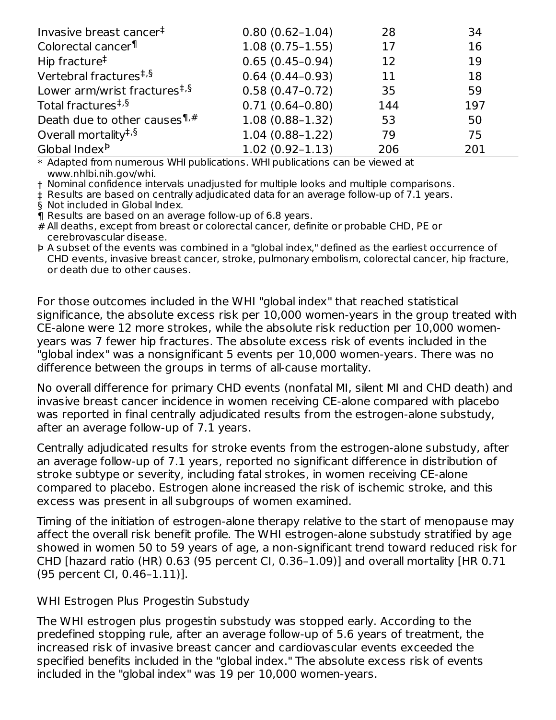| Invasive breast cancer <sup>‡</sup>                                     | $0.80(0.62 - 1.04)$ | 28  | 34  |
|-------------------------------------------------------------------------|---------------------|-----|-----|
| Colorectal cancer <sup>¶</sup>                                          | $1.08(0.75-1.55)$   | 17  | 16  |
| Hip fracture <sup>#</sup>                                               | $0.65(0.45-0.94)$   | 12  | 19  |
| Vertebral fractures <sup>‡,§</sup>                                      | $0.64(0.44 - 0.93)$ | 11  | 18  |
| Lower arm/wrist fractures <sup>‡,§</sup>                                | $0.58(0.47-0.72)$   | 35  | 59  |
| Total fractures <sup>‡,§</sup>                                          | $0.71(0.64 - 0.80)$ | 144 | 197 |
| Death due to other causes $\P$ ,#                                       | $1.08(0.88 - 1.32)$ | 53  | 50  |
| Overall mortality <sup><math>\ddagger</math>, <math>\delta</math></sup> | $1.04(0.88 - 1.22)$ | 79  | 75  |
| Global Index <sup>P</sup>                                               | $1.02(0.92 - 1.13)$ | 206 | 201 |

\* Adapted from numerous WHI publications. WHI publications can be viewed at www.nhlbi.nih.gov/whi.

† Nominal confidence intervals unadjusted for multiple looks and multiple comparisons.

‡ Results are based on centrally adjudicated data for an average follow-up of 7.1 years.

§ Not included in Global Index.

¶ Results are based on an average follow-up of 6.8 years.

# All deaths, except from breast or colorectal cancer, definite or probable CHD, PE or cerebrovascular disease.

Þ A subset of the events was combined in a "global index," defined as the earliest occurrence of CHD events, invasive breast cancer, stroke, pulmonary embolism, colorectal cancer, hip fracture, or death due to other causes.

For those outcomes included in the WHI "global index" that reached statistical significance, the absolute excess risk per 10,000 women-years in the group treated with CE-alone were 12 more strokes, while the absolute risk reduction per 10,000 womenyears was 7 fewer hip fractures. The absolute excess risk of events included in the "global index" was a nonsignificant 5 events per 10,000 women-years. There was no difference between the groups in terms of all-cause mortality.

No overall difference for primary CHD events (nonfatal MI, silent MI and CHD death) and invasive breast cancer incidence in women receiving CE-alone compared with placebo was reported in final centrally adjudicated results from the estrogen-alone substudy, after an average follow-up of 7.1 years.

Centrally adjudicated results for stroke events from the estrogen-alone substudy, after an average follow-up of 7.1 years, reported no significant difference in distribution of stroke subtype or severity, including fatal strokes, in women receiving CE-alone compared to placebo. Estrogen alone increased the risk of ischemic stroke, and this excess was present in all subgroups of women examined.

Timing of the initiation of estrogen-alone therapy relative to the start of menopause may affect the overall risk benefit profile. The WHI estrogen-alone substudy stratified by age showed in women 50 to 59 years of age, a non-significant trend toward reduced risk for CHD [hazard ratio (HR) 0.63 (95 percent CI, 0.36–1.09)] and overall mortality [HR 0.71 (95 percent CI, 0.46–1.11)].

#### WHI Estrogen Plus Progestin Substudy

The WHI estrogen plus progestin substudy was stopped early. According to the predefined stopping rule, after an average follow-up of 5.6 years of treatment, the increased risk of invasive breast cancer and cardiovascular events exceeded the specified benefits included in the "global index." The absolute excess risk of events included in the "global index" was 19 per 10,000 women-years.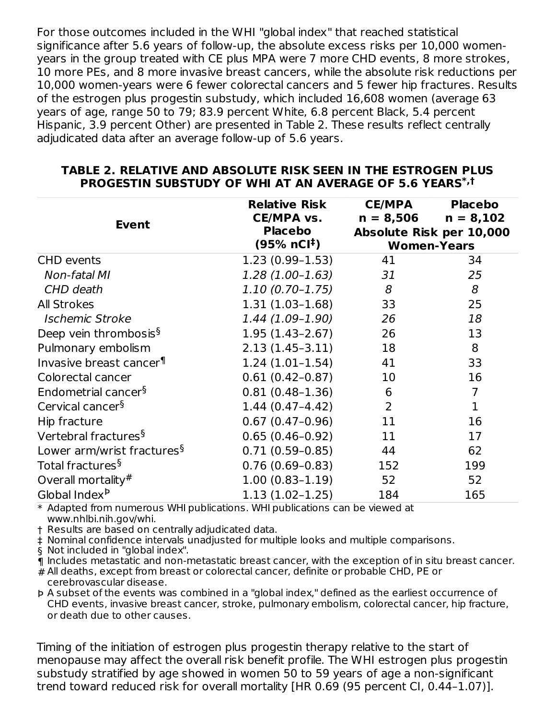For those outcomes included in the WHI "global index" that reached statistical significance after 5.6 years of follow-up, the absolute excess risks per 10,000 womenyears in the group treated with CE plus MPA were 7 more CHD events, 8 more strokes, 10 more PEs, and 8 more invasive breast cancers, while the absolute risk reductions per 10,000 women-years were 6 fewer colorectal cancers and 5 fewer hip fractures. Results of the estrogen plus progestin substudy, which included 16,608 women (average 63 years of age, range 50 to 79; 83.9 percent White, 6.8 percent Black, 5.4 percent Hispanic, 3.9 percent Other) are presented in Table 2. These results reflect centrally adjudicated data after an average follow-up of 5.6 years.

| <b>Event</b>                           | <b>Relative Risk</b><br><b>CE/MPA vs.</b><br><b>Placebo</b><br>$(95\% \; nCl^{\ddagger})$ | <b>CE/MPA</b><br>$n = 8,506$ | <b>Placebo</b><br>$n = 8,102$<br>Absolute Risk per 10,000<br><b>Women-Years</b> |
|----------------------------------------|-------------------------------------------------------------------------------------------|------------------------------|---------------------------------------------------------------------------------|
| <b>CHD</b> events                      | $1.23(0.99-1.53)$                                                                         | 41                           | 34                                                                              |
| Non-fatal MI                           | $1.28(1.00-1.63)$                                                                         | 31                           | 25                                                                              |
| CHD death                              | $1.10(0.70-1.75)$                                                                         | 8                            | 8                                                                               |
| <b>All Strokes</b>                     | $1.31(1.03-1.68)$                                                                         | 33                           | 25                                                                              |
| Ischemic Stroke                        | 1.44 (1.09–1.90)                                                                          | 26                           | 18                                                                              |
| Deep vein thrombosis <sup>§</sup>      | $1.95(1.43 - 2.67)$                                                                       | 26                           | 13                                                                              |
| Pulmonary embolism                     | $2.13(1.45-3.11)$                                                                         | 18                           | 8                                                                               |
| Invasive breast cancer <sup>¶</sup>    | $1.24(1.01-1.54)$                                                                         | 41                           | 33                                                                              |
| Colorectal cancer                      | $0.61(0.42-0.87)$                                                                         | 10                           | 16                                                                              |
| Endometrial cancer <sup>§</sup>        | $0.81(0.48-1.36)$                                                                         | 6                            | $\overline{7}$                                                                  |
| Cervical cancer <sup>§</sup>           | $1.44(0.47-4.42)$                                                                         | $\overline{2}$               | $\mathbf{1}$                                                                    |
| Hip fracture                           | $0.67(0.47-0.96)$                                                                         | 11                           | 16                                                                              |
| Vertebral fractures <sup>§</sup>       | $0.65(0.46-0.92)$                                                                         | 11                           | 17                                                                              |
| Lower arm/wrist fractures <sup>§</sup> | $0.71(0.59-0.85)$                                                                         | 44                           | 62                                                                              |
| Total fractures <sup>§</sup>           | $0.76(0.69-0.83)$                                                                         | 152                          | 199                                                                             |
| Overall mortality#                     | $1.00(0.83 - 1.19)$                                                                       | 52                           | 52                                                                              |
| Global Index <sup>P</sup>              | $1.13(1.02 - 1.25)$                                                                       | 184                          | 165                                                                             |

#### **TABLE 2. RELATIVE AND ABSOLUTE RISK SEEN IN THE ESTROGEN PLUS PROGESTIN SUBSTUDY OF WHI AT AN AVERAGE OF 5.6 YEARS \*,†**

\* Adapted from numerous WHI publications. WHI publications can be viewed at www.nhlbi.nih.gov/whi.

† Results are based on centrally adjudicated data.

‡ Nominal confidence intervals unadjusted for multiple looks and multiple comparisons.

§ Not included in "global index".

¶ Includes metastatic and non-metastatic breast cancer, with the exception of in situ breast cancer.

# All deaths, except from breast or colorectal cancer, definite or probable CHD, PE or cerebrovascular disease.

Þ A subset of the events was combined in a "global index," defined as the earliest occurrence of CHD events, invasive breast cancer, stroke, pulmonary embolism, colorectal cancer, hip fracture, or death due to other causes.

Timing of the initiation of estrogen plus progestin therapy relative to the start of menopause may affect the overall risk benefit profile. The WHI estrogen plus progestin substudy stratified by age showed in women 50 to 59 years of age a non-significant trend toward reduced risk for overall mortality [HR 0.69 (95 percent CI, 0.44–1.07)].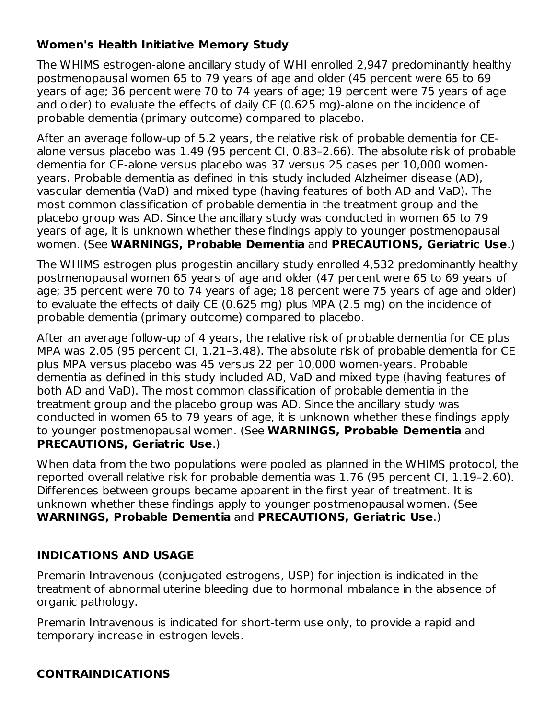## **Women's Health Initiative Memory Study**

The WHIMS estrogen-alone ancillary study of WHI enrolled 2,947 predominantly healthy postmenopausal women 65 to 79 years of age and older (45 percent were 65 to 69 years of age; 36 percent were 70 to 74 years of age; 19 percent were 75 years of age and older) to evaluate the effects of daily CE (0.625 mg)-alone on the incidence of probable dementia (primary outcome) compared to placebo.

After an average follow-up of 5.2 years, the relative risk of probable dementia for CEalone versus placebo was 1.49 (95 percent CI, 0.83–2.66). The absolute risk of probable dementia for CE-alone versus placebo was 37 versus 25 cases per 10,000 womenyears. Probable dementia as defined in this study included Alzheimer disease (AD), vascular dementia (VaD) and mixed type (having features of both AD and VaD). The most common classification of probable dementia in the treatment group and the placebo group was AD. Since the ancillary study was conducted in women 65 to 79 years of age, it is unknown whether these findings apply to younger postmenopausal women. (See **WARNINGS, Probable Dementia** and **PRECAUTIONS, Geriatric Use**.)

The WHIMS estrogen plus progestin ancillary study enrolled 4,532 predominantly healthy postmenopausal women 65 years of age and older (47 percent were 65 to 69 years of age; 35 percent were 70 to 74 years of age; 18 percent were 75 years of age and older) to evaluate the effects of daily CE (0.625 mg) plus MPA (2.5 mg) on the incidence of probable dementia (primary outcome) compared to placebo.

After an average follow-up of 4 years, the relative risk of probable dementia for CE plus MPA was 2.05 (95 percent CI, 1.21–3.48). The absolute risk of probable dementia for CE plus MPA versus placebo was 45 versus 22 per 10,000 women-years. Probable dementia as defined in this study included AD, VaD and mixed type (having features of both AD and VaD). The most common classification of probable dementia in the treatment group and the placebo group was AD. Since the ancillary study was conducted in women 65 to 79 years of age, it is unknown whether these findings apply to younger postmenopausal women. (See **WARNINGS, Probable Dementia** and **PRECAUTIONS, Geriatric Use**.)

When data from the two populations were pooled as planned in the WHIMS protocol, the reported overall relative risk for probable dementia was 1.76 (95 percent CI, 1.19–2.60). Differences between groups became apparent in the first year of treatment. It is unknown whether these findings apply to younger postmenopausal women. (See **WARNINGS, Probable Dementia** and **PRECAUTIONS, Geriatric Use**.)

#### **INDICATIONS AND USAGE**

Premarin Intravenous (conjugated estrogens, USP) for injection is indicated in the treatment of abnormal uterine bleeding due to hormonal imbalance in the absence of organic pathology.

Premarin Intravenous is indicated for short-term use only, to provide a rapid and temporary increase in estrogen levels.

#### **CONTRAINDICATIONS**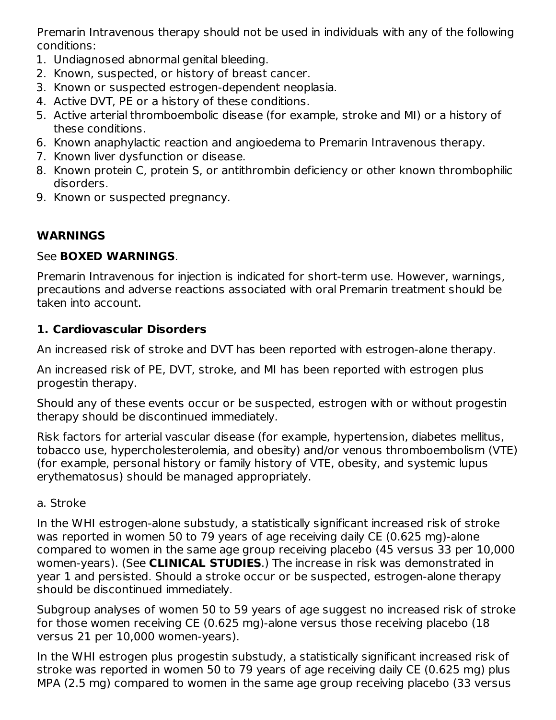Premarin Intravenous therapy should not be used in individuals with any of the following conditions:

- 1. Undiagnosed abnormal genital bleeding.
- 2. Known, suspected, or history of breast cancer.
- 3. Known or suspected estrogen-dependent neoplasia.
- 4. Active DVT, PE or a history of these conditions.
- 5. Active arterial thromboembolic disease (for example, stroke and MI) or a history of these conditions.
- 6. Known anaphylactic reaction and angioedema to Premarin Intravenous therapy.
- 7. Known liver dysfunction or disease.
- 8. Known protein C, protein S, or antithrombin deficiency or other known thrombophilic disorders.
- 9. Known or suspected pregnancy.

# **WARNINGS**

### See **BOXED WARNINGS**.

Premarin Intravenous for injection is indicated for short-term use. However, warnings, precautions and adverse reactions associated with oral Premarin treatment should be taken into account.

## **1. Cardiovascular Disorders**

An increased risk of stroke and DVT has been reported with estrogen-alone therapy.

An increased risk of PE, DVT, stroke, and MI has been reported with estrogen plus progestin therapy.

Should any of these events occur or be suspected, estrogen with or without progestin therapy should be discontinued immediately.

Risk factors for arterial vascular disease (for example, hypertension, diabetes mellitus, tobacco use, hypercholesterolemia, and obesity) and/or venous thromboembolism (VTE) (for example, personal history or family history of VTE, obesity, and systemic lupus erythematosus) should be managed appropriately.

## a. Stroke

In the WHI estrogen-alone substudy, a statistically significant increased risk of stroke was reported in women 50 to 79 years of age receiving daily CE (0.625 mg)-alone compared to women in the same age group receiving placebo (45 versus 33 per 10,000 women-years). (See **CLINICAL STUDIES**.) The increase in risk was demonstrated in year 1 and persisted. Should a stroke occur or be suspected, estrogen-alone therapy should be discontinued immediately.

Subgroup analyses of women 50 to 59 years of age suggest no increased risk of stroke for those women receiving CE (0.625 mg)-alone versus those receiving placebo (18 versus 21 per 10,000 women-years).

In the WHI estrogen plus progestin substudy, a statistically significant increased risk of stroke was reported in women 50 to 79 years of age receiving daily CE (0.625 mg) plus MPA (2.5 mg) compared to women in the same age group receiving placebo (33 versus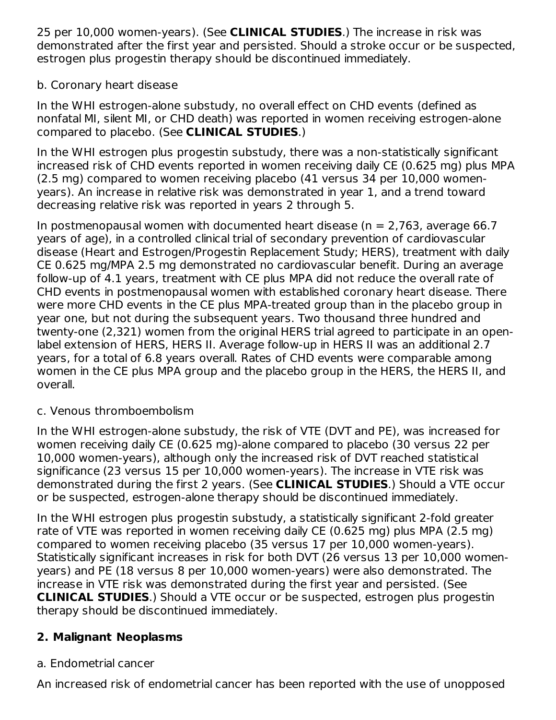25 per 10,000 women-years). (See **CLINICAL STUDIES**.) The increase in risk was demonstrated after the first year and persisted. Should a stroke occur or be suspected, estrogen plus progestin therapy should be discontinued immediately.

## b. Coronary heart disease

In the WHI estrogen-alone substudy, no overall effect on CHD events (defined as nonfatal MI, silent MI, or CHD death) was reported in women receiving estrogen-alone compared to placebo. (See **CLINICAL STUDIES**.)

In the WHI estrogen plus progestin substudy, there was a non-statistically significant increased risk of CHD events reported in women receiving daily CE (0.625 mg) plus MPA (2.5 mg) compared to women receiving placebo (41 versus 34 per 10,000 womenyears). An increase in relative risk was demonstrated in year 1, and a trend toward decreasing relative risk was reported in years 2 through 5.

In postmenopausal women with documented heart disease ( $n = 2.763$ , average 66.7 years of age), in a controlled clinical trial of secondary prevention of cardiovascular disease (Heart and Estrogen/Progestin Replacement Study; HERS), treatment with daily CE 0.625 mg/MPA 2.5 mg demonstrated no cardiovascular benefit. During an average follow-up of 4.1 years, treatment with CE plus MPA did not reduce the overall rate of CHD events in postmenopausal women with established coronary heart disease. There were more CHD events in the CE plus MPA-treated group than in the placebo group in year one, but not during the subsequent years. Two thousand three hundred and twenty-one (2,321) women from the original HERS trial agreed to participate in an openlabel extension of HERS, HERS II. Average follow-up in HERS II was an additional 2.7 years, for a total of 6.8 years overall. Rates of CHD events were comparable among women in the CE plus MPA group and the placebo group in the HERS, the HERS II, and overall.

# c. Venous thromboembolism

In the WHI estrogen-alone substudy, the risk of VTE (DVT and PE), was increased for women receiving daily CE (0.625 mg)-alone compared to placebo (30 versus 22 per 10,000 women-years), although only the increased risk of DVT reached statistical significance (23 versus 15 per 10,000 women-years). The increase in VTE risk was demonstrated during the first 2 years. (See **CLINICAL STUDIES**.) Should a VTE occur or be suspected, estrogen-alone therapy should be discontinued immediately.

In the WHI estrogen plus progestin substudy, a statistically significant 2-fold greater rate of VTE was reported in women receiving daily CE (0.625 mg) plus MPA (2.5 mg) compared to women receiving placebo (35 versus 17 per 10,000 women-years). Statistically significant increases in risk for both DVT (26 versus 13 per 10,000 womenyears) and PE (18 versus 8 per 10,000 women-years) were also demonstrated. The increase in VTE risk was demonstrated during the first year and persisted. (See **CLINICAL STUDIES**.) Should a VTE occur or be suspected, estrogen plus progestin therapy should be discontinued immediately.

# **2. Malignant Neoplasms**

# a. Endometrial cancer

An increased risk of endometrial cancer has been reported with the use of unopposed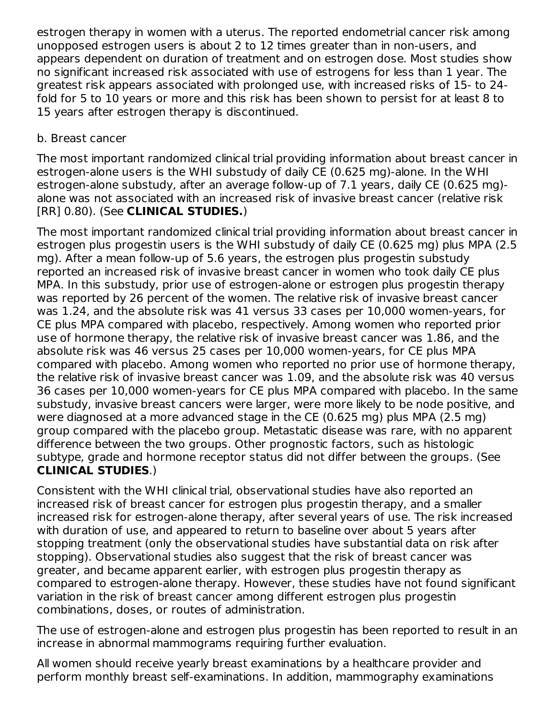estrogen therapy in women with a uterus. The reported endometrial cancer risk among unopposed estrogen users is about 2 to 12 times greater than in non-users, and appears dependent on duration of treatment and on estrogen dose. Most studies show no significant increased risk associated with use of estrogens for less than 1 year. The greatest risk appears associated with prolonged use, with increased risks of 15- to 24 fold for 5 to 10 years or more and this risk has been shown to persist for at least 8 to 15 years after estrogen therapy is discontinued.

## b. Breast cancer

The most important randomized clinical trial providing information about breast cancer in estrogen-alone users is the WHI substudy of daily CE (0.625 mg)-alone. In the WHI estrogen-alone substudy, after an average follow-up of 7.1 years, daily CE (0.625 mg) alone was not associated with an increased risk of invasive breast cancer (relative risk [RR] 0.80). (See **CLINICAL STUDIES.**)

The most important randomized clinical trial providing information about breast cancer in estrogen plus progestin users is the WHI substudy of daily CE (0.625 mg) plus MPA (2.5 mg). After a mean follow-up of 5.6 years, the estrogen plus progestin substudy reported an increased risk of invasive breast cancer in women who took daily CE plus MPA. In this substudy, prior use of estrogen-alone or estrogen plus progestin therapy was reported by 26 percent of the women. The relative risk of invasive breast cancer was 1.24, and the absolute risk was 41 versus 33 cases per 10,000 women-years, for CE plus MPA compared with placebo, respectively. Among women who reported prior use of hormone therapy, the relative risk of invasive breast cancer was 1.86, and the absolute risk was 46 versus 25 cases per 10,000 women-years, for CE plus MPA compared with placebo. Among women who reported no prior use of hormone therapy, the relative risk of invasive breast cancer was 1.09, and the absolute risk was 40 versus 36 cases per 10,000 women-years for CE plus MPA compared with placebo. In the same substudy, invasive breast cancers were larger, were more likely to be node positive, and were diagnosed at a more advanced stage in the CE (0.625 mg) plus MPA (2.5 mg) group compared with the placebo group. Metastatic disease was rare, with no apparent difference between the two groups. Other prognostic factors, such as histologic subtype, grade and hormone receptor status did not differ between the groups. (See **CLINICAL STUDIES**.)

Consistent with the WHI clinical trial, observational studies have also reported an increased risk of breast cancer for estrogen plus progestin therapy, and a smaller increased risk for estrogen-alone therapy, after several years of use. The risk increased with duration of use, and appeared to return to baseline over about 5 years after stopping treatment (only the observational studies have substantial data on risk after stopping). Observational studies also suggest that the risk of breast cancer was greater, and became apparent earlier, with estrogen plus progestin therapy as compared to estrogen-alone therapy. However, these studies have not found significant variation in the risk of breast cancer among different estrogen plus progestin combinations, doses, or routes of administration.

The use of estrogen-alone and estrogen plus progestin has been reported to result in an increase in abnormal mammograms requiring further evaluation.

All women should receive yearly breast examinations by a healthcare provider and perform monthly breast self-examinations. In addition, mammography examinations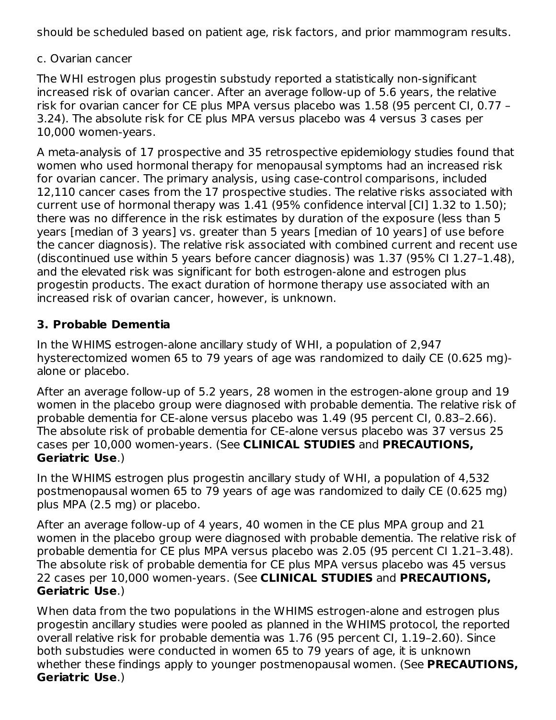should be scheduled based on patient age, risk factors, and prior mammogram results.

## c. Ovarian cancer

The WHI estrogen plus progestin substudy reported a statistically non-significant increased risk of ovarian cancer. After an average follow-up of 5.6 years, the relative risk for ovarian cancer for CE plus MPA versus placebo was 1.58 (95 percent CI, 0.77 – 3.24). The absolute risk for CE plus MPA versus placebo was 4 versus 3 cases per 10,000 women-years.

A meta-analysis of 17 prospective and 35 retrospective epidemiology studies found that women who used hormonal therapy for menopausal symptoms had an increased risk for ovarian cancer. The primary analysis, using case-control comparisons, included 12,110 cancer cases from the 17 prospective studies. The relative risks associated with current use of hormonal therapy was 1.41 (95% confidence interval [CI] 1.32 to 1.50); there was no difference in the risk estimates by duration of the exposure (less than 5 years [median of 3 years] vs. greater than 5 years [median of 10 years] of use before the cancer diagnosis). The relative risk associated with combined current and recent use (discontinued use within 5 years before cancer diagnosis) was 1.37 (95% CI 1.27–1.48), and the elevated risk was significant for both estrogen-alone and estrogen plus progestin products. The exact duration of hormone therapy use associated with an increased risk of ovarian cancer, however, is unknown.

## **3. Probable Dementia**

In the WHIMS estrogen-alone ancillary study of WHI, a population of 2,947 hysterectomized women 65 to 79 years of age was randomized to daily CE (0.625 mg) alone or placebo.

After an average follow-up of 5.2 years, 28 women in the estrogen-alone group and 19 women in the placebo group were diagnosed with probable dementia. The relative risk of probable dementia for CE-alone versus placebo was 1.49 (95 percent CI, 0.83–2.66). The absolute risk of probable dementia for CE-alone versus placebo was 37 versus 25 cases per 10,000 women-years. (See **CLINICAL STUDIES** and **PRECAUTIONS, Geriatric Use**.)

In the WHIMS estrogen plus progestin ancillary study of WHI, a population of 4,532 postmenopausal women 65 to 79 years of age was randomized to daily CE (0.625 mg) plus MPA (2.5 mg) or placebo.

After an average follow-up of 4 years, 40 women in the CE plus MPA group and 21 women in the placebo group were diagnosed with probable dementia. The relative risk of probable dementia for CE plus MPA versus placebo was 2.05 (95 percent CI 1.21–3.48). The absolute risk of probable dementia for CE plus MPA versus placebo was 45 versus 22 cases per 10,000 women-years. (See **CLINICAL STUDIES** and **PRECAUTIONS, Geriatric Use**.)

When data from the two populations in the WHIMS estrogen-alone and estrogen plus progestin ancillary studies were pooled as planned in the WHIMS protocol, the reported overall relative risk for probable dementia was 1.76 (95 percent CI, 1.19–2.60). Since both substudies were conducted in women 65 to 79 years of age, it is unknown whether these findings apply to younger postmenopausal women. (See **PRECAUTIONS, Geriatric Use**.)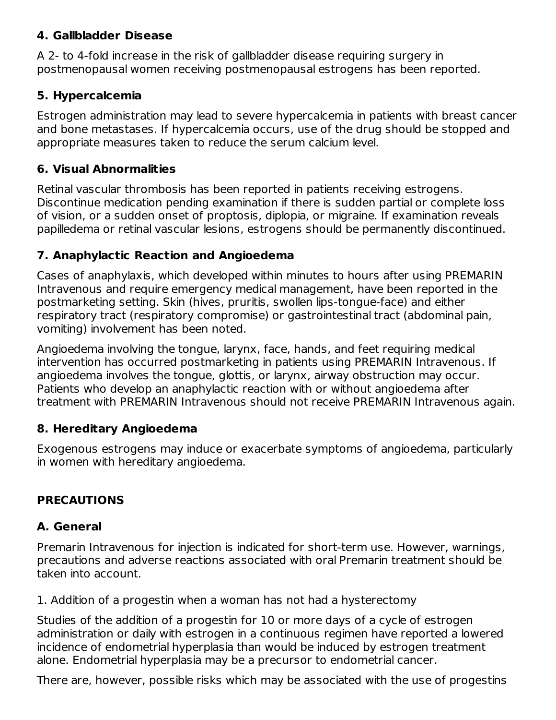### **4. Gallbladder Disease**

A 2- to 4-fold increase in the risk of gallbladder disease requiring surgery in postmenopausal women receiving postmenopausal estrogens has been reported.

## **5. Hypercalcemia**

Estrogen administration may lead to severe hypercalcemia in patients with breast cancer and bone metastases. If hypercalcemia occurs, use of the drug should be stopped and appropriate measures taken to reduce the serum calcium level.

## **6. Visual Abnormalities**

Retinal vascular thrombosis has been reported in patients receiving estrogens. Discontinue medication pending examination if there is sudden partial or complete loss of vision, or a sudden onset of proptosis, diplopia, or migraine. If examination reveals papilledema or retinal vascular lesions, estrogens should be permanently discontinued.

## **7. Anaphylactic Reaction and Angioedema**

Cases of anaphylaxis, which developed within minutes to hours after using PREMARIN Intravenous and require emergency medical management, have been reported in the postmarketing setting. Skin (hives, pruritis, swollen lips-tongue-face) and either respiratory tract (respiratory compromise) or gastrointestinal tract (abdominal pain, vomiting) involvement has been noted.

Angioedema involving the tongue, larynx, face, hands, and feet requiring medical intervention has occurred postmarketing in patients using PREMARIN Intravenous. If angioedema involves the tongue, glottis, or larynx, airway obstruction may occur. Patients who develop an anaphylactic reaction with or without angioedema after treatment with PREMARIN Intravenous should not receive PREMARIN Intravenous again.

## **8. Hereditary Angioedema**

Exogenous estrogens may induce or exacerbate symptoms of angioedema, particularly in women with hereditary angioedema.

## **PRECAUTIONS**

## **A. General**

Premarin Intravenous for injection is indicated for short-term use. However, warnings, precautions and adverse reactions associated with oral Premarin treatment should be taken into account.

1. Addition of a progestin when a woman has not had a hysterectomy

Studies of the addition of a progestin for 10 or more days of a cycle of estrogen administration or daily with estrogen in a continuous regimen have reported a lowered incidence of endometrial hyperplasia than would be induced by estrogen treatment alone. Endometrial hyperplasia may be a precursor to endometrial cancer.

There are, however, possible risks which may be associated with the use of progestins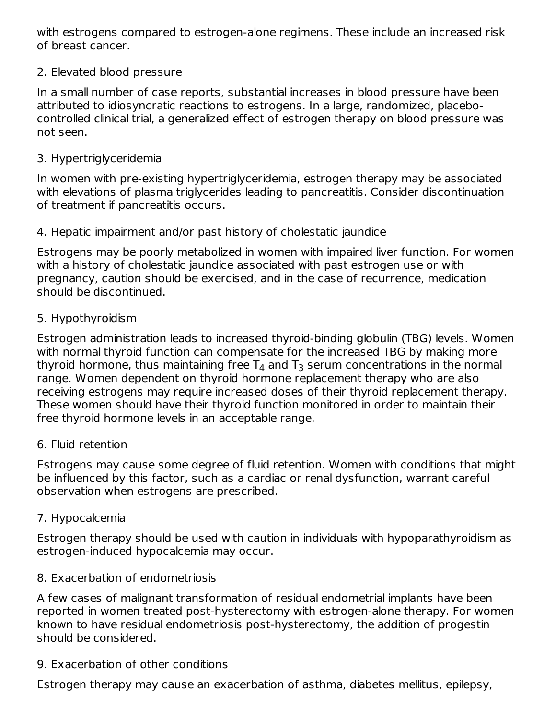with estrogens compared to estrogen-alone regimens. These include an increased risk of breast cancer.

#### 2. Elevated blood pressure

In a small number of case reports, substantial increases in blood pressure have been attributed to idiosyncratic reactions to estrogens. In a large, randomized, placebocontrolled clinical trial, a generalized effect of estrogen therapy on blood pressure was not seen.

#### 3. Hypertriglyceridemia

In women with pre-existing hypertriglyceridemia, estrogen therapy may be associated with elevations of plasma triglycerides leading to pancreatitis. Consider discontinuation of treatment if pancreatitis occurs.

#### 4. Hepatic impairment and/or past history of cholestatic jaundice

Estrogens may be poorly metabolized in women with impaired liver function. For women with a history of cholestatic jaundice associated with past estrogen use or with pregnancy, caution should be exercised, and in the case of recurrence, medication should be discontinued.

#### 5. Hypothyroidism

Estrogen administration leads to increased thyroid-binding globulin (TBG) levels. Women with normal thyroid function can compensate for the increased TBG by making more thyroid hormone, thus maintaining free  ${\sf T}_4$  and  ${\sf T}_3$  serum concentrations in the normal range. Women dependent on thyroid hormone replacement therapy who are also receiving estrogens may require increased doses of their thyroid replacement therapy. These women should have their thyroid function monitored in order to maintain their free thyroid hormone levels in an acceptable range.

#### 6. Fluid retention

Estrogens may cause some degree of fluid retention. Women with conditions that might be influenced by this factor, such as a cardiac or renal dysfunction, warrant careful observation when estrogens are prescribed.

#### 7. Hypocalcemia

Estrogen therapy should be used with caution in individuals with hypoparathyroidism as estrogen-induced hypocalcemia may occur.

#### 8. Exacerbation of endometriosis

A few cases of malignant transformation of residual endometrial implants have been reported in women treated post-hysterectomy with estrogen-alone therapy. For women known to have residual endometriosis post-hysterectomy, the addition of progestin should be considered.

#### 9. Exacerbation of other conditions

Estrogen therapy may cause an exacerbation of asthma, diabetes mellitus, epilepsy,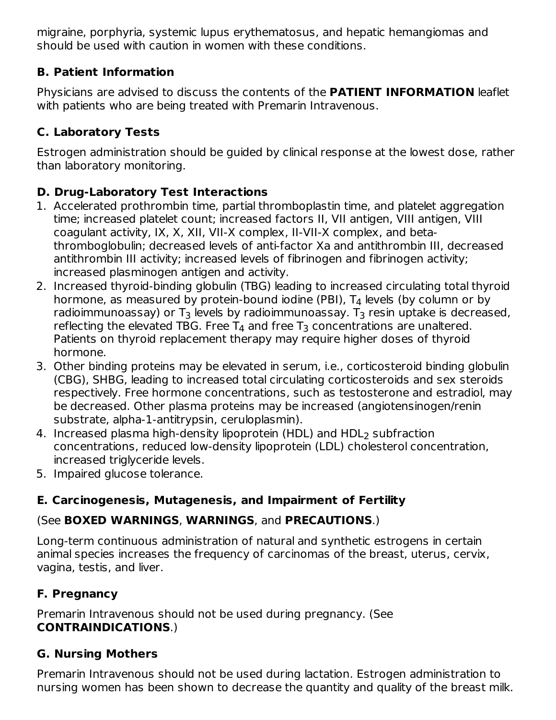migraine, porphyria, systemic lupus erythematosus, and hepatic hemangiomas and should be used with caution in women with these conditions.

## **B. Patient Information**

Physicians are advised to discuss the contents of the **PATIENT INFORMATION** leaflet with patients who are being treated with Premarin Intravenous.

# **C. Laboratory Tests**

Estrogen administration should be guided by clinical response at the lowest dose, rather than laboratory monitoring.

# **D. Drug-Laboratory Test Interactions**

- 1. Accelerated prothrombin time, partial thromboplastin time, and platelet aggregation time; increased platelet count; increased factors II, VII antigen, VIII antigen, VIII coagulant activity, IX, X, XII, VII-X complex, II-VII-X complex, and betathromboglobulin; decreased levels of anti-factor Xa and antithrombin III, decreased antithrombin III activity; increased levels of fibrinogen and fibrinogen activity; increased plasminogen antigen and activity.
- 2. Increased thyroid-binding globulin (TBG) leading to increased circulating total thyroid hormone, as measured by protein-bound iodine (PBI),  ${\sf T}_4$  levels (by column or by radioimmunoassay) or T $_3$  levels by radioimmunoassay. T $_3$  resin uptake is decreased, reflecting the elevated TBG. Free  $T_4$  and free  $T_3$  concentrations are unaltered. Patients on thyroid replacement therapy may require higher doses of thyroid hormone.
- 3. Other binding proteins may be elevated in serum, i.e., corticosteroid binding globulin (CBG), SHBG, leading to increased total circulating corticosteroids and sex steroids respectively. Free hormone concentrations, such as testosterone and estradiol, may be decreased. Other plasma proteins may be increased (angiotensinogen/renin substrate, alpha-1-antitrypsin, ceruloplasmin).
- 4. Increased plasma high-density lipoprotein (HDL) and  $\mathsf{HDL}_2$  subfraction concentrations, reduced low-density lipoprotein (LDL) cholesterol concentration, increased triglyceride levels.
- 5. Impaired glucose tolerance.

# **E. Carcinogenesis, Mutagenesis, and Impairment of Fertility**

# (See **BOXED WARNINGS**, **WARNINGS**, and **PRECAUTIONS**.)

Long-term continuous administration of natural and synthetic estrogens in certain animal species increases the frequency of carcinomas of the breast, uterus, cervix, vagina, testis, and liver.

# **F. Pregnancy**

Premarin Intravenous should not be used during pregnancy. (See **CONTRAINDICATIONS**.)

# **G. Nursing Mothers**

Premarin Intravenous should not be used during lactation. Estrogen administration to nursing women has been shown to decrease the quantity and quality of the breast milk.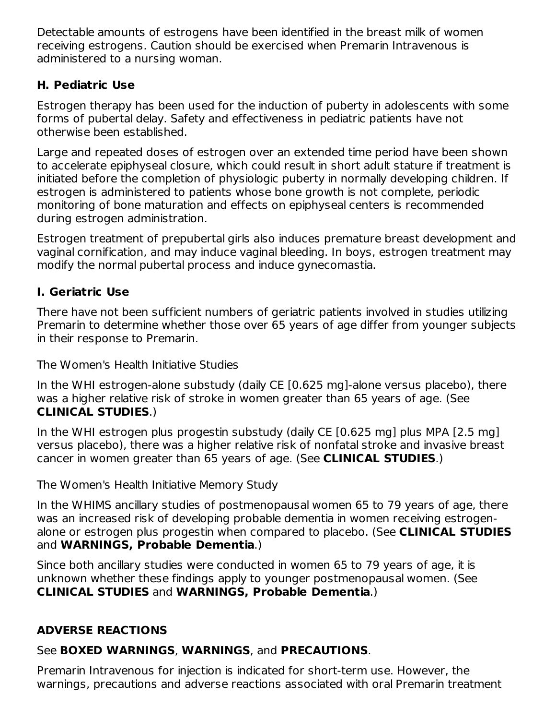Detectable amounts of estrogens have been identified in the breast milk of women receiving estrogens. Caution should be exercised when Premarin Intravenous is administered to a nursing woman.

## **H. Pediatric Use**

Estrogen therapy has been used for the induction of puberty in adolescents with some forms of pubertal delay. Safety and effectiveness in pediatric patients have not otherwise been established.

Large and repeated doses of estrogen over an extended time period have been shown to accelerate epiphyseal closure, which could result in short adult stature if treatment is initiated before the completion of physiologic puberty in normally developing children. If estrogen is administered to patients whose bone growth is not complete, periodic monitoring of bone maturation and effects on epiphyseal centers is recommended during estrogen administration.

Estrogen treatment of prepubertal girls also induces premature breast development and vaginal cornification, and may induce vaginal bleeding. In boys, estrogen treatment may modify the normal pubertal process and induce gynecomastia.

## **I. Geriatric Use**

There have not been sufficient numbers of geriatric patients involved in studies utilizing Premarin to determine whether those over 65 years of age differ from younger subjects in their response to Premarin.

The Women's Health Initiative Studies

In the WHI estrogen-alone substudy (daily CE [0.625 mg]-alone versus placebo), there was a higher relative risk of stroke in women greater than 65 years of age. (See **CLINICAL STUDIES**.)

In the WHI estrogen plus progestin substudy (daily CE [0.625 mg] plus MPA [2.5 mg] versus placebo), there was a higher relative risk of nonfatal stroke and invasive breast cancer in women greater than 65 years of age. (See **CLINICAL STUDIES**.)

The Women's Health Initiative Memory Study

In the WHIMS ancillary studies of postmenopausal women 65 to 79 years of age, there was an increased risk of developing probable dementia in women receiving estrogenalone or estrogen plus progestin when compared to placebo. (See **CLINICAL STUDIES** and **WARNINGS, Probable Dementia**.)

Since both ancillary studies were conducted in women 65 to 79 years of age, it is unknown whether these findings apply to younger postmenopausal women. (See **CLINICAL STUDIES** and **WARNINGS, Probable Dementia**.)

# **ADVERSE REACTIONS**

# See **BOXED WARNINGS**, **WARNINGS**, and **PRECAUTIONS**.

Premarin Intravenous for injection is indicated for short-term use. However, the warnings, precautions and adverse reactions associated with oral Premarin treatment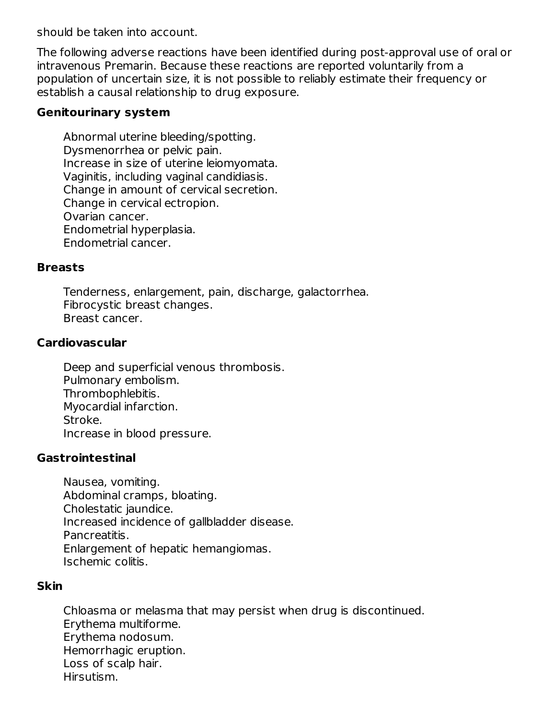should be taken into account.

The following adverse reactions have been identified during post-approval use of oral or intravenous Premarin. Because these reactions are reported voluntarily from a population of uncertain size, it is not possible to reliably estimate their frequency or establish a causal relationship to drug exposure.

#### **Genitourinary system**

Abnormal uterine bleeding/spotting. Dysmenorrhea or pelvic pain. Increase in size of uterine leiomyomata. Vaginitis, including vaginal candidiasis. Change in amount of cervical secretion. Change in cervical ectropion. Ovarian cancer. Endometrial hyperplasia. Endometrial cancer.

#### **Breasts**

Tenderness, enlargement, pain, discharge, galactorrhea. Fibrocystic breast changes. Breast cancer.

#### **Cardiovascular**

Deep and superficial venous thrombosis. Pulmonary embolism. Thrombophlebitis. Myocardial infarction. Stroke. Increase in blood pressure.

#### **Gastrointestinal**

Nausea, vomiting. Abdominal cramps, bloating. Cholestatic jaundice. Increased incidence of gallbladder disease. Pancreatitis. Enlargement of hepatic hemangiomas. Ischemic colitis.

#### **Skin**

Chloasma or melasma that may persist when drug is discontinued. Erythema multiforme. Erythema nodosum. Hemorrhagic eruption. Loss of scalp hair. Hirsutism.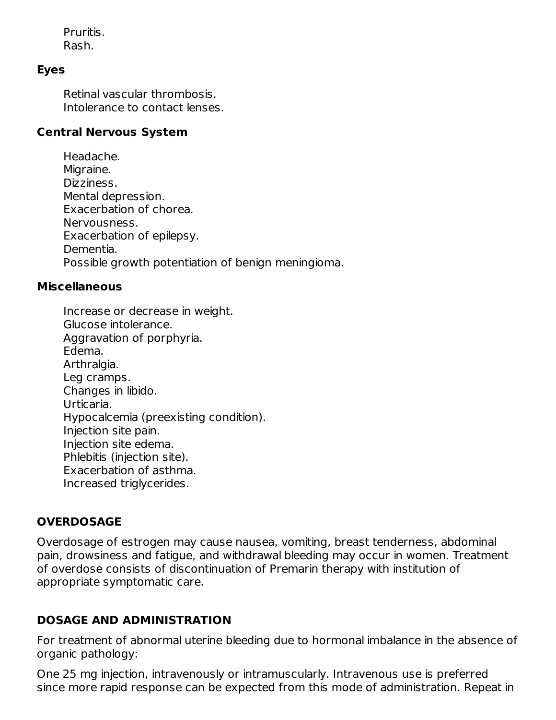Pruritis. Rash.

### **Eyes**

Retinal vascular thrombosis. Intolerance to contact lenses.

### **Central Nervous System**

Headache. Migraine. Dizziness. Mental depression. Exacerbation of chorea. Nervousness. Exacerbation of epilepsy. Dementia. Possible growth potentiation of benign meningioma.

#### **Miscellaneous**

Increase or decrease in weight. Glucose intolerance. Aggravation of porphyria. Edema. Arthralgia. Leg cramps. Changes in libido. Urticaria. Hypocalcemia (preexisting condition). Injection site pain. Injection site edema. Phlebitis (injection site). Exacerbation of asthma. Increased triglycerides.

## **OVERDOSAGE**

Overdosage of estrogen may cause nausea, vomiting, breast tenderness, abdominal pain, drowsiness and fatigue, and withdrawal bleeding may occur in women. Treatment of overdose consists of discontinuation of Premarin therapy with institution of appropriate symptomatic care.

## **DOSAGE AND ADMINISTRATION**

For treatment of abnormal uterine bleeding due to hormonal imbalance in the absence of organic pathology:

One 25 mg injection, intravenously or intramuscularly. Intravenous use is preferred since more rapid response can be expected from this mode of administration. Repeat in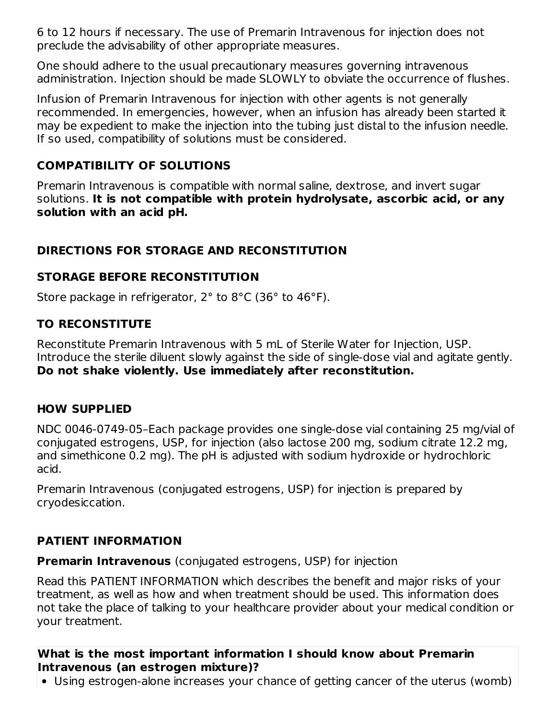6 to 12 hours if necessary. The use of Premarin Intravenous for injection does not preclude the advisability of other appropriate measures.

One should adhere to the usual precautionary measures governing intravenous administration. Injection should be made SLOWLY to obviate the occurrence of flushes.

Infusion of Premarin Intravenous for injection with other agents is not generally recommended. In emergencies, however, when an infusion has already been started it may be expedient to make the injection into the tubing just distal to the infusion needle. If so used, compatibility of solutions must be considered.

## **COMPATIBILITY OF SOLUTIONS**

Premarin Intravenous is compatible with normal saline, dextrose, and invert sugar solutions. **It is not compatible with protein hydrolysate, ascorbic acid, or any solution with an acid pH.**

### **DIRECTIONS FOR STORAGE AND RECONSTITUTION**

#### **STORAGE BEFORE RECONSTITUTION**

Store package in refrigerator, 2° to 8°C (36° to 46°F).

## **TO RECONSTITUTE**

Reconstitute Premarin Intravenous with 5 mL of Sterile Water for Injection, USP. Introduce the sterile diluent slowly against the side of single-dose vial and agitate gently. **Do not shake violently. Use immediately after reconstitution.**

#### **HOW SUPPLIED**

NDC 0046-0749-05–Each package provides one single-dose vial containing 25 mg/vial of conjugated estrogens, USP, for injection (also lactose 200 mg, sodium citrate 12.2 mg, and simethicone 0.2 mg). The pH is adjusted with sodium hydroxide or hydrochloric acid.

Premarin Intravenous (conjugated estrogens, USP) for injection is prepared by cryodesiccation.

## **PATIENT INFORMATION**

**Premarin Intravenous** (conjugated estrogens, USP) for injection

Read this PATIENT INFORMATION which describes the benefit and major risks of your treatment, as well as how and when treatment should be used. This information does not take the place of talking to your healthcare provider about your medical condition or your treatment.

#### **What is the most important information I should know about Premarin Intravenous (an estrogen mixture)?**

Using estrogen-alone increases your chance of getting cancer of the uterus (womb)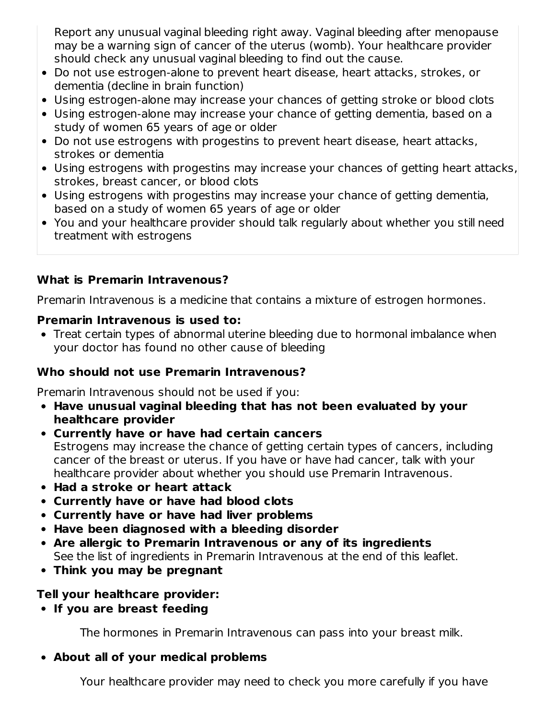Report any unusual vaginal bleeding right away. Vaginal bleeding after menopause may be a warning sign of cancer of the uterus (womb). Your healthcare provider should check any unusual vaginal bleeding to find out the cause.

- Do not use estrogen-alone to prevent heart disease, heart attacks, strokes, or dementia (decline in brain function)
- Using estrogen-alone may increase your chances of getting stroke or blood clots
- Using estrogen-alone may increase your chance of getting dementia, based on a study of women 65 years of age or older
- Do not use estrogens with progestins to prevent heart disease, heart attacks, strokes or dementia
- Using estrogens with progestins may increase your chances of getting heart attacks, strokes, breast cancer, or blood clots
- Using estrogens with progestins may increase your chance of getting dementia, based on a study of women 65 years of age or older
- You and your healthcare provider should talk regularly about whether you still need treatment with estrogens

# **What is Premarin Intravenous?**

Premarin Intravenous is a medicine that contains a mixture of estrogen hormones.

## **Premarin Intravenous is used to:**

Treat certain types of abnormal uterine bleeding due to hormonal imbalance when your doctor has found no other cause of bleeding

# **Who should not use Premarin Intravenous?**

Premarin Intravenous should not be used if you:

- **Have unusual vaginal bleeding that has not been evaluated by your healthcare provider**
- **Currently have or have had certain cancers** Estrogens may increase the chance of getting certain types of cancers, including cancer of the breast or uterus. If you have or have had cancer, talk with your healthcare provider about whether you should use Premarin Intravenous.
- **Had a stroke or heart attack**
- **Currently have or have had blood clots**
- **Currently have or have had liver problems**
- **Have been diagnosed with a bleeding disorder**
- **Are allergic to Premarin Intravenous or any of its ingredients** See the list of ingredients in Premarin Intravenous at the end of this leaflet.
- **Think you may be pregnant**

# **Tell your healthcare provider:**

**If you are breast feeding**

The hormones in Premarin Intravenous can pass into your breast milk.

**About all of your medical problems**

Your healthcare provider may need to check you more carefully if you have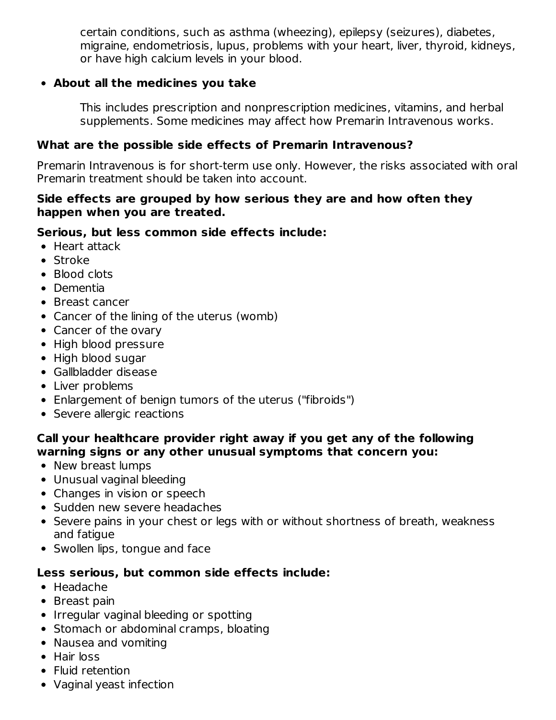certain conditions, such as asthma (wheezing), epilepsy (seizures), diabetes, migraine, endometriosis, lupus, problems with your heart, liver, thyroid, kidneys, or have high calcium levels in your blood.

### **About all the medicines you take**

This includes prescription and nonprescription medicines, vitamins, and herbal supplements. Some medicines may affect how Premarin Intravenous works.

### **What are the possible side effects of Premarin Intravenous?**

Premarin Intravenous is for short-term use only. However, the risks associated with oral Premarin treatment should be taken into account.

#### **Side effects are grouped by how serious they are and how often they happen when you are treated.**

### **Serious, but less common side effects include:**

- Heart attack
- Stroke
- Blood clots
- Dementia
- Breast cancer
- Cancer of the lining of the uterus (womb)
- Cancer of the ovary
- High blood pressure
- High blood sugar
- Gallbladder disease
- Liver problems
- Enlargement of benign tumors of the uterus ("fibroids")
- Severe allergic reactions

#### **Call your healthcare provider right away if you get any of the following warning signs or any other unusual symptoms that concern you:**

- New breast lumps
- Unusual vaginal bleeding
- Changes in vision or speech
- Sudden new severe headaches
- Severe pains in your chest or legs with or without shortness of breath, weakness and fatigue
- Swollen lips, tongue and face

## **Less serious, but common side effects include:**

- Headache
- Breast pain
- Irregular vaginal bleeding or spotting
- Stomach or abdominal cramps, bloating
- Nausea and vomiting
- Hair loss
- Fluid retention
- Vaginal yeast infection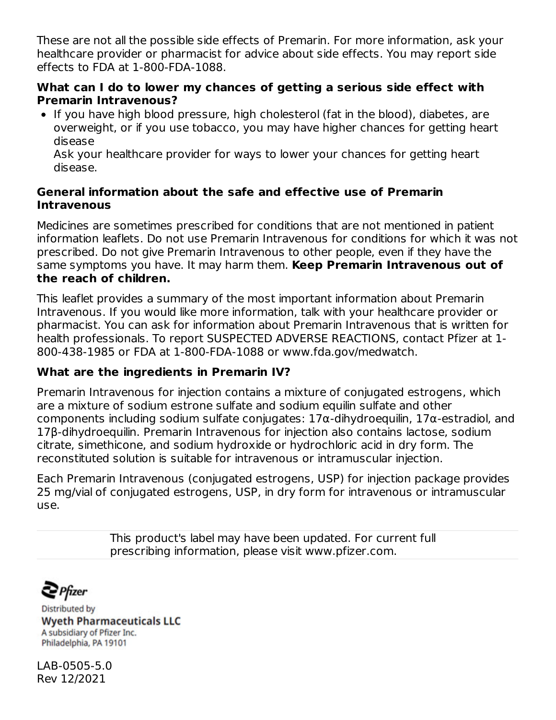These are not all the possible side effects of Premarin. For more information, ask your healthcare provider or pharmacist for advice about side effects. You may report side effects to FDA at 1-800-FDA-1088.

#### **What can I do to lower my chances of getting a serious side effect with Premarin Intravenous?**

• If you have high blood pressure, high cholesterol (fat in the blood), diabetes, are overweight, or if you use tobacco, you may have higher chances for getting heart disease

Ask your healthcare provider for ways to lower your chances for getting heart disease.

### **General information about the safe and effective use of Premarin Intravenous**

Medicines are sometimes prescribed for conditions that are not mentioned in patient information leaflets. Do not use Premarin Intravenous for conditions for which it was not prescribed. Do not give Premarin Intravenous to other people, even if they have the same symptoms you have. It may harm them. **Keep Premarin Intravenous out of the reach of children.**

This leaflet provides a summary of the most important information about Premarin Intravenous. If you would like more information, talk with your healthcare provider or pharmacist. You can ask for information about Premarin Intravenous that is written for health professionals. To report SUSPECTED ADVERSE REACTIONS, contact Pfizer at 1- 800-438-1985 or FDA at 1-800-FDA-1088 or www.fda.gov/medwatch.

## **What are the ingredients in Premarin IV?**

Premarin Intravenous for injection contains a mixture of conjugated estrogens, which are a mixture of sodium estrone sulfate and sodium equilin sulfate and other components including sodium sulfate conjugates: 17α-dihydroequilin, 17α-estradiol, and 17β-dihydroequilin. Premarin Intravenous for injection also contains lactose, sodium citrate, simethicone, and sodium hydroxide or hydrochloric acid in dry form. The reconstituted solution is suitable for intravenous or intramuscular injection.

Each Premarin Intravenous (conjugated estrogens, USP) for injection package provides 25 mg/vial of conjugated estrogens, USP, in dry form for intravenous or intramuscular use.

> This product's label may have been updated. For current full prescribing information, please visit www.pfizer.com.

**P**fizer

Distributed by **Wyeth Pharmaceuticals LLC** A subsidiary of Pfizer Inc. Philadelphia, PA 19101

LAB-0505-5.0 Rev 12/2021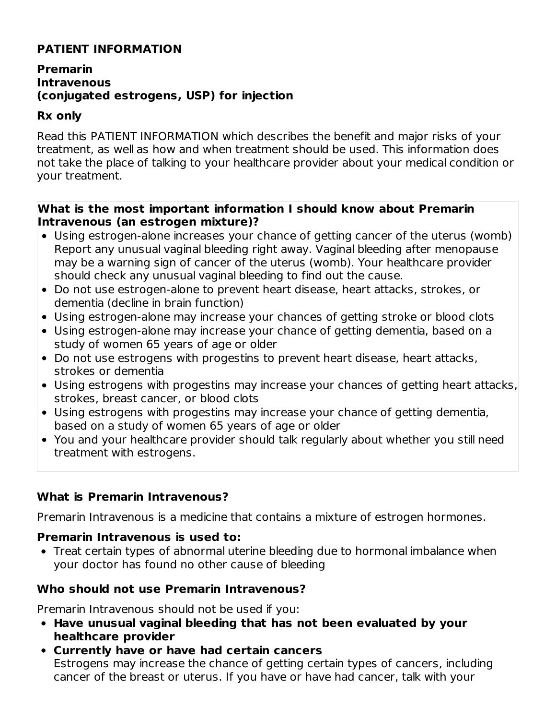# **PATIENT INFORMATION**

### **Premarin Intravenous (conjugated estrogens, USP) for injection**

# **Rx only**

Read this PATIENT INFORMATION which describes the benefit and major risks of your treatment, as well as how and when treatment should be used. This information does not take the place of talking to your healthcare provider about your medical condition or your treatment.

#### **What is the most important information I should know about Premarin Intravenous (an estrogen mixture)?**

- Using estrogen-alone increases your chance of getting cancer of the uterus (womb) Report any unusual vaginal bleeding right away. Vaginal bleeding after menopause may be a warning sign of cancer of the uterus (womb). Your healthcare provider should check any unusual vaginal bleeding to find out the cause.
- Do not use estrogen-alone to prevent heart disease, heart attacks, strokes, or dementia (decline in brain function)
- Using estrogen-alone may increase your chances of getting stroke or blood clots
- Using estrogen-alone may increase your chance of getting dementia, based on a study of women 65 years of age or older
- Do not use estrogens with progestins to prevent heart disease, heart attacks, strokes or dementia
- Using estrogens with progestins may increase your chances of getting heart attacks, strokes, breast cancer, or blood clots
- Using estrogens with progestins may increase your chance of getting dementia, based on a study of women 65 years of age or older
- You and your healthcare provider should talk regularly about whether you still need treatment with estrogens.

# **What is Premarin Intravenous?**

Premarin Intravenous is a medicine that contains a mixture of estrogen hormones.

# **Premarin Intravenous is used to:**

Treat certain types of abnormal uterine bleeding due to hormonal imbalance when your doctor has found no other cause of bleeding

# **Who should not use Premarin Intravenous?**

Premarin Intravenous should not be used if you:

- **Have unusual vaginal bleeding that has not been evaluated by your healthcare provider**
- **Currently have or have had certain cancers** Estrogens may increase the chance of getting certain types of cancers, including cancer of the breast or uterus. If you have or have had cancer, talk with your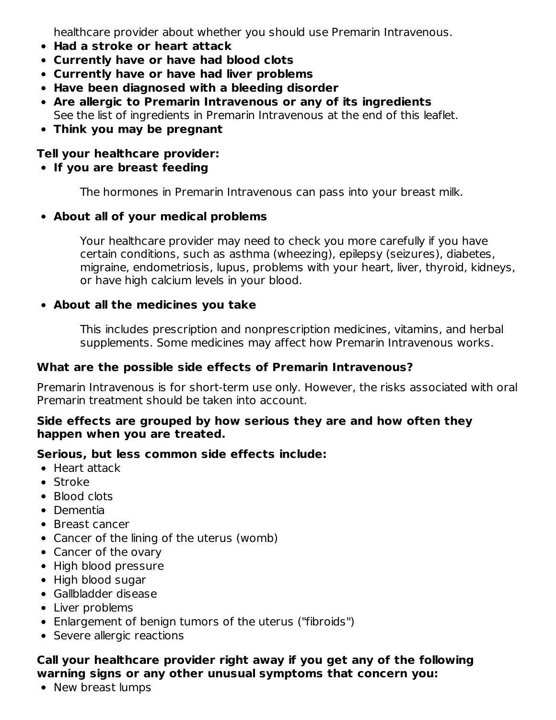healthcare provider about whether you should use Premarin Intravenous.

- **Had a stroke or heart attack**
- **Currently have or have had blood clots**
- **Currently have or have had liver problems**
- **Have been diagnosed with a bleeding disorder**
- **Are allergic to Premarin Intravenous or any of its ingredients** See the list of ingredients in Premarin Intravenous at the end of this leaflet.
- **Think you may be pregnant**

## **Tell your healthcare provider:**

## **If you are breast feeding**

The hormones in Premarin Intravenous can pass into your breast milk.

### **About all of your medical problems**

Your healthcare provider may need to check you more carefully if you have certain conditions, such as asthma (wheezing), epilepsy (seizures), diabetes, migraine, endometriosis, lupus, problems with your heart, liver, thyroid, kidneys, or have high calcium levels in your blood.

### **About all the medicines you take**

This includes prescription and nonprescription medicines, vitamins, and herbal supplements. Some medicines may affect how Premarin Intravenous works.

## **What are the possible side effects of Premarin Intravenous?**

Premarin Intravenous is for short-term use only. However, the risks associated with oral Premarin treatment should be taken into account.

### **Side effects are grouped by how serious they are and how often they happen when you are treated.**

## **Serious, but less common side effects include:**

- Heart attack
- Stroke
- Blood clots
- Dementia
- Breast cancer
- Cancer of the lining of the uterus (womb)
- Cancer of the ovary
- High blood pressure
- High blood sugar
- Gallbladder disease
- Liver problems
- Enlargement of benign tumors of the uterus ("fibroids")
- Severe allergic reactions

### **Call your healthcare provider right away if you get any of the following warning signs or any other unusual symptoms that concern you:**

• New breast lumps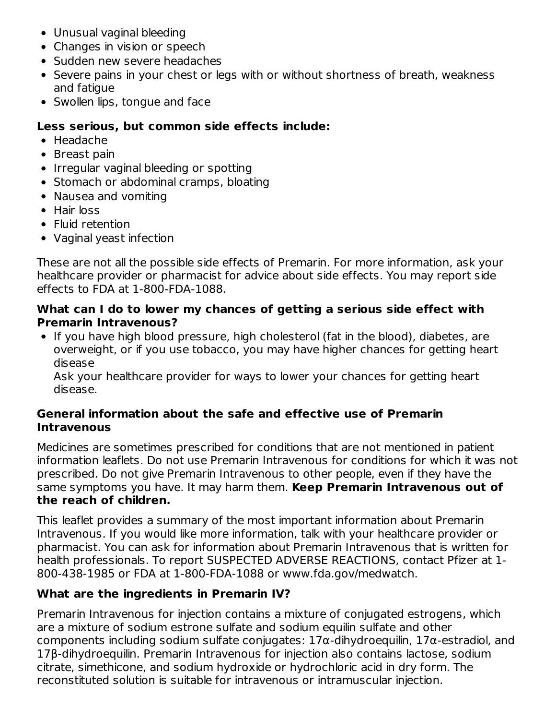- Unusual vaginal bleeding
- Changes in vision or speech
- Sudden new severe headaches
- Severe pains in your chest or legs with or without shortness of breath, weakness and fatigue
- Swollen lips, tongue and face

## **Less serious, but common side effects include:**

- Headache
- Breast pain
- Irregular vaginal bleeding or spotting
- Stomach or abdominal cramps, bloating
- Nausea and vomiting
- Hair loss
- Fluid retention
- Vaginal yeast infection

These are not all the possible side effects of Premarin. For more information, ask your healthcare provider or pharmacist for advice about side effects. You may report side effects to FDA at 1-800-FDA-1088.

## **What can I do to lower my chances of getting a serious side effect with Premarin Intravenous?**

• If you have high blood pressure, high cholesterol (fat in the blood), diabetes, are overweight, or if you use tobacco, you may have higher chances for getting heart disease

Ask your healthcare provider for ways to lower your chances for getting heart disease.

### **General information about the safe and effective use of Premarin Intravenous**

Medicines are sometimes prescribed for conditions that are not mentioned in patient information leaflets. Do not use Premarin Intravenous for conditions for which it was not prescribed. Do not give Premarin Intravenous to other people, even if they have the same symptoms you have. It may harm them. **Keep Premarin Intravenous out of the reach of children.**

This leaflet provides a summary of the most important information about Premarin Intravenous. If you would like more information, talk with your healthcare provider or pharmacist. You can ask for information about Premarin Intravenous that is written for health professionals. To report SUSPECTED ADVERSE REACTIONS, contact Pfizer at 1- 800-438-1985 or FDA at 1-800-FDA-1088 or www.fda.gov/medwatch.

# **What are the ingredients in Premarin IV?**

Premarin Intravenous for injection contains a mixture of conjugated estrogens, which are a mixture of sodium estrone sulfate and sodium equilin sulfate and other components including sodium sulfate conjugates: 17α-dihydroequilin, 17α-estradiol, and 17β-dihydroequilin. Premarin Intravenous for injection also contains lactose, sodium citrate, simethicone, and sodium hydroxide or hydrochloric acid in dry form. The reconstituted solution is suitable for intravenous or intramuscular injection.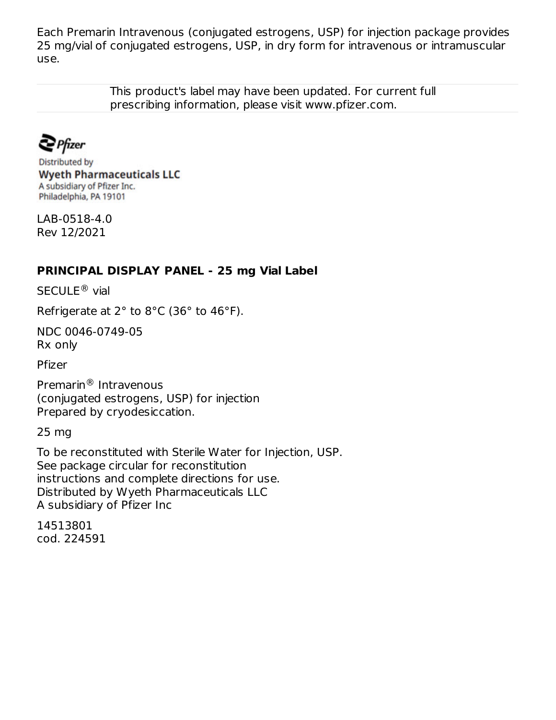Each Premarin Intravenous (conjugated estrogens, USP) for injection package provides 25 mg/vial of conjugated estrogens, USP, in dry form for intravenous or intramuscular use.

> This product's label may have been updated. For current full prescribing information, please visit www.pfizer.com.



**Distributed by Wyeth Pharmaceuticals LLC** A subsidiary of Pfizer Inc. Philadelphia, PA 19101

LAB-0518-4.0 Rev 12/2021

#### **PRINCIPAL DISPLAY PANEL - 25 mg Vial Label**

SECULE<sup>®</sup> vial

Refrigerate at 2° to 8°C (36° to 46°F).

NDC 0046-0749-05 Rx only

Pfizer

Premarin<sup>®</sup> Intravenous (conjugated estrogens, USP) for injection Prepared by cryodesiccation.

25 mg

To be reconstituted with Sterile Water for Injection, USP. See package circular for reconstitution instructions and complete directions for use. Distributed by Wyeth Pharmaceuticals LLC A subsidiary of Pfizer Inc

14513801 cod. 224591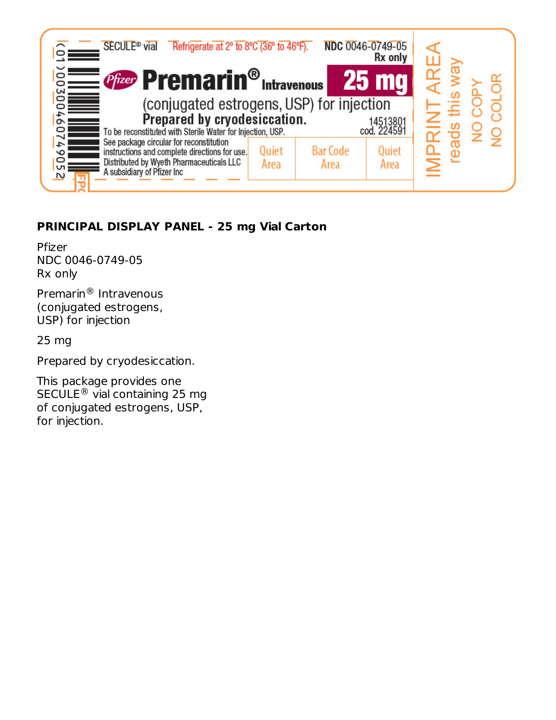

# **PRINCIPAL DISPLAY PANEL - 25 mg Vial Carton**

Pfizer NDC 0046-0749-05 Rx only

Premarin<sup>®</sup> Intravenous (conjugated estrogens, USP) for injection

25 mg

Prepared by cryodesiccation.

This package provides one  $\mathsf{SECULE}^{\circledR}$  vial containing 25 mg of conjugated estrogens, USP, for injection.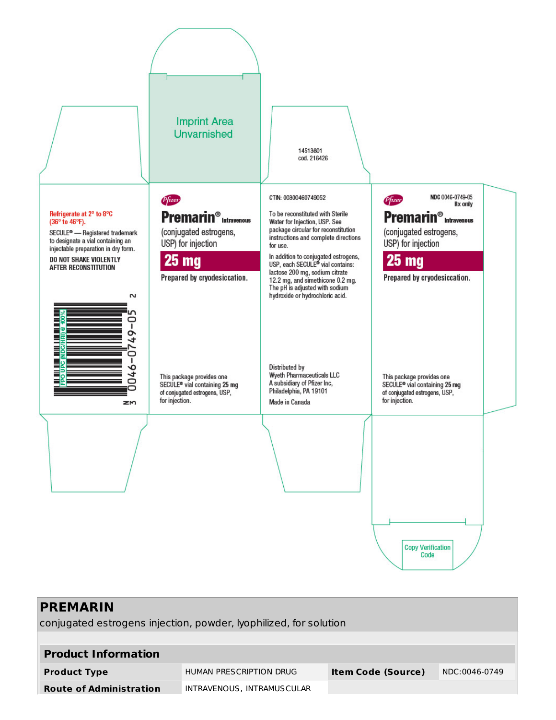

| <b>PREMARIN</b><br>conjugated estrogens injection, powder, lyophilized, for solution |                            |                           |               |  |  |
|--------------------------------------------------------------------------------------|----------------------------|---------------------------|---------------|--|--|
| <b>Product Information</b>                                                           |                            |                           |               |  |  |
| <b>Product Type</b>                                                                  | HUMAN PRESCRIPTION DRUG    | <b>Item Code (Source)</b> | NDC:0046-0749 |  |  |
| <b>Route of Administration</b>                                                       | INTRAVENOUS, INTRAMUSCULAR |                           |               |  |  |